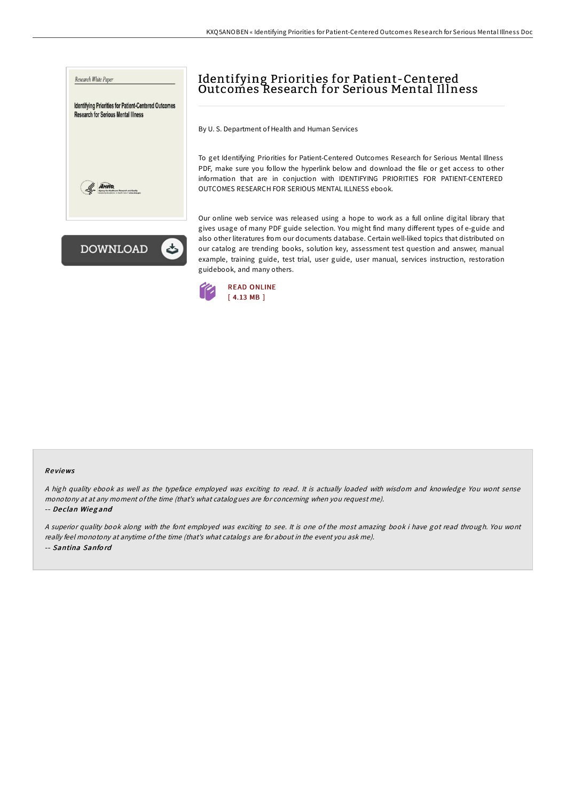



# Identifying Priorities for Patient-Centered Outcomes Research for Serious Mental Illness

By U. S. Department of Health and Human Services

To get Identifying Priorities for Patient-Centered Outcomes Research for Serious Mental Illness PDF, make sure you follow the hyperlink below and download the file or get access to other information that are in conjuction with IDENTIFYING PRIORITIES FOR PATIENT-CENTERED OUTCOMES RESEARCH FOR SERIOUS MENTAL ILLNESS ebook.

Our online web service was released using a hope to work as a full online digital library that gives usage of many PDF guide selection. You might find many different types of e-guide and also other literatures from our documents database. Certain well-liked topics that distributed on our catalog are trending books, solution key, assessment test question and answer, manual example, training guide, test trial, user guide, user manual, services instruction, restoration guidebook, and many others.



### Re views

<sup>A</sup> high quality ebook as well as the typeface employed was exciting to read. It is actually loaded with wisdom and knowledge You wont sense monotony at at any moment ofthe time (that's what catalogues are for concerning when you request me).

#### -- De clan Wieg and

<sup>A</sup> superior quality book along with the font employed was exciting to see. It is one of the most amazing book i have got read through. You wont really feel monotony at anytime ofthe time (that's what catalogs are for about in the event you ask me). -- Santina Sanfo rd